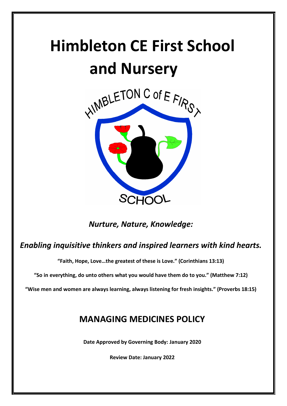# **Himbleton CE First School and Nursery**



# *Nurture, Nature, Knowledge:*

# *Enabling inquisitive thinkers and inspired learners with kind hearts.*

**"Faith, Hope, Love…the greatest of these is Love." (Corinthians 13:13)**

**"So in everything, do unto others what you would have them do to you." (Matthew 7:12)**

**"Wise men and women are always learning, always listening for fresh insights." (Proverbs 18:15)**

# **MANAGING MEDICINES POLICY**

**Date Approved by Governing Body: January 2020**

**Review Date: January 2022**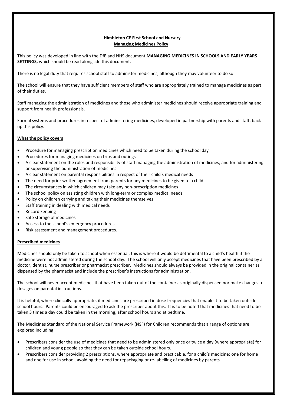## **Himbleton CE First School and Nursery Managing Medicines Policy**

This policy was developed in line with the DfE and NHS document **MANAGING MEDICINES IN SCHOOLS AND EARLY YEARS SETTINGS,** which should be read alongside this document.

There is no legal duty that requires school staff to administer medicines, although they may volunteer to do so.

The school will ensure that they have sufficient members of staff who are appropriately trained to manage medicines as part of their duties.

Staff managing the administration of medicines and those who administer medicines should receive appropriate training and support from health professionals.

Formal systems and procedures in respect of administering medicines, developed in partnership with parents and staff, back up this policy.

### **What the policy covers**

- Procedure for managing prescription medicines which need to be taken during the school day
- Procedures for managing medicines on trips and outings
- A clear statement on the roles and responsibility of staff managing the administration of medicines, and for administering or supervising the administration of medicines
- A clear statement on parental responsibilities in respect of their child's medical needs
- The need for prior written agreement from parents for any medicines to be given to a child
- The circumstances in which children may take any non-prescription medicines
- The school policy on assisting children with long-term or complex medical needs
- Policy on children carrying and taking their medicines themselves
- Staff training in dealing with medical needs
- Record keeping
- Safe storage of medicines
- Access to the school's emergency procedures
- Risk assessment and management procedures.

#### **Prescribed medicines**

Medicines should only be taken to school when essential; this is where it would be detrimental to a child's health if the medicine were not administered during the school day. The school will only accept medicines that have been prescribed by a doctor, dentist, nurse prescriber or pharmacist prescriber. Medicines should always be provided in the original container as dispensed by the pharmacist and include the prescriber's instructions for administration.

The school will never accept medicines that have been taken out of the container as originally dispensed nor make changes to dosages on parental instructions.

It is helpful, where clinically appropriate, if medicines are prescribed in dose frequencies that enable it to be taken outside school hours. Parents could be encouraged to ask the prescriber about this. It is to be noted that medicines that need to be taken 3 times a day could be taken in the morning, after school hours and at bedtime.

The Medicines Standard of the National Service Framework (NSF) for Children recommends that a range of options are explored including:

- Prescribers consider the use of medicines that need to be administered only once or twice a day (where appropriate) for children and young people so that they can be taken outside school hours.
- Prescribers consider providing 2 prescriptions, where appropriate and practicable, for a child's medicine: one for home and one for use in school, avoiding the need for repackaging or re-labelling of medicines by parents.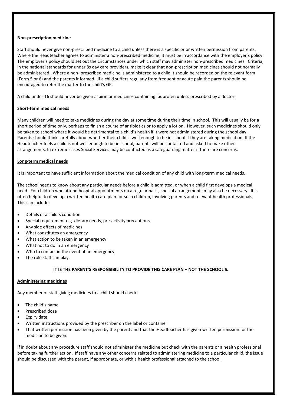#### **Non-prescription medicine**

Staff should never give non-prescribed medicine to a child unless there is a specific prior written permission from parents. Where the Headteacher agrees to administer a non-prescribed medicine, it must be in accordance with the employer's policy. The employer's policy should set out the circumstances under which staff may administer non-prescribed medicines. Criteria, in the national standards for under 8s day care providers, make it clear that non-prescription medicines should not normally be administered. Where a non- prescribed medicine is administered to a child it should be recorded on the relevant form (Form 5 or 6) and the parents informed. If a child suffers regularly from frequent or acute pain the parents should be encouraged to refer the matter to the child's GP.

A child under 16 should never be given aspirin or medicines containing ibuprofen unless prescribed by a doctor.

#### **Short-term medical needs**

Many children will need to take medicines during the day at some time during their time in school. This will usually be for a short period of time only, perhaps to finish a course of antibiotics or to apply a lotion. However, such medicines should only be taken to school where it would be detrimental to a child's health if it were not administered during the school day. Parents should think carefully about whether their child is well enough to be in school if they are taking medication. If the Headteacher feels a child is not well enough to be in school, parents will be contacted and asked to make other arrangements. In extreme cases Social Services may be contacted as a safeguarding matter if there are concerns.

#### **Long-term medical needs**

It is important to have sufficient information about the medical condition of any child with long-term medical needs.

The school needs to know about any particular needs before a child is admitted, or when a child first develops a medical need. For children who attend hospital appointments on a regular basis, special arrangements may also be necessary. It is often helpful to develop a written health care plan for such children, involving parents and relevant health professionals. This can include:

- Details of a child's condition
- Special requirement e.g. dietary needs, pre-activity precautions
- Any side effects of medicines
- What constitutes an emergency
- What action to be taken in an emergency
- What not to do in an emergency
- Who to contact in the event of an emergency
- The role staff can play.

# **IT IS THE PARENT'S RESPONSIBILITY TO PROVIDE THIS CARE PLAN – NOT THE SCHOOL'S.**

#### **Administering medicines**

Any member of staff giving medicines to a child should check:

- The child's name
- Prescribed dose
- Expiry date
- Written instructions provided by the prescriber on the label or container
- That written permission has been given by the parent and that the Headteacher has given written permission for the medicine to be given.

If in doubt about any procedure staff should not administer the medicine but check with the parents or a health professional before taking further action. If staff have any other concerns related to administering medicine to a particular child, the issue should be discussed with the parent, if appropriate, or with a health professional attached to the school.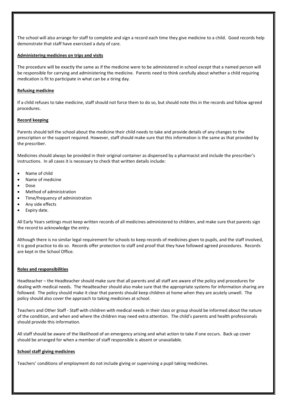The school will also arrange for staff to complete and sign a record each time they give medicine to a child. Good records help demonstrate that staff have exercised a duty of care.

#### **Administering medicines on trips and visits**

The procedure will be exactly the same as if the medicine were to be administered in school *except* that a named person will be responsible for carrying and administering the medicine. Parents need to think carefully about whether a child requiring medication is fit to participate in what can be a tiring day.

#### **Refusing medicine**

If a child refuses to take medicine, staff should not force them to do so, but should note this in the records and follow agreed procedures.

#### **Record keeping**

Parents should tell the school about the medicine their child needs to take and provide details of any changes to the prescription or the support required. However, staff should make sure that this information is the same as that provided by the prescriber.

Medicines should always be provided in their original container as dispensed by a pharmacist and include the prescriber's instructions. In all cases it is necessary to check that written details include:

- Name of child
- Name of medicine
- Dose
- Method of administration
- Time/frequency of administration
- Any side effects
- Expiry date.

All Early Years settings must keep written records of all medicines administered to children, and make sure that parents sign the record to acknowledge the entry.

Although there is no similar legal requirement for schools to keep records of medicines given to pupils, and the staff involved, it is good practice to do so. Records offer protection to staff and proof that they have followed agreed procedures. Records are kept in the School Office.

#### **Roles and responsibilities**

Headteacher – the Headteacher should make sure that all parents and all staff are aware of the policy and procedures for dealing with medical needs. The Headteacher should also make sure that the appropriate systems for information sharing are followed. The policy should make it clear that parents should keep children at home when they are acutely unwell. The policy should also cover the approach to taking medicines at school.

Teachers and Other Staff - Staff with children with medical needs in their class or group should be informed about the nature of the condition, and when and where the children may need extra attention. The child's parents and health professionals should provide this information.

All staff should be aware of the likelihood of an emergency arising and what action to take if one occurs. Back up cover should be arranged for when a member of staff responsible is absent or unavailable.

#### **School staff giving medicines**

Teachers' conditions of employment do not include giving or supervising a pupil taking medicines.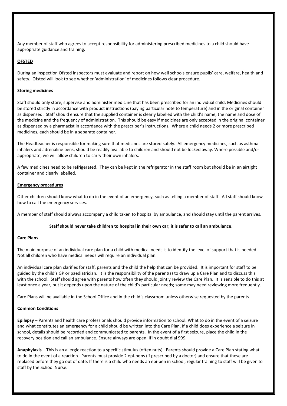Any member of staff who agrees to accept responsibility for administering prescribed medicines to a child should have appropriate guidance and training.

# **OFSTED**

During an inspection Ofsted inspectors must evaluate and report on how well schools ensure pupils' care, welfare, health and safety. Ofsted will look to see whether 'administration' of medicines follows clear procedure.

#### **Storing medicines**

Staff should only store, supervise and administer medicine that has been prescribed for an individual child. Medicines should be stored strictly in accordance with product instructions (paying particular note to temperature) and in the original container as dispensed. Staff should ensure that the supplied container is clearly labelled with the child's name, the name and dose of the medicine and the frequency of administration. This should be easy if medicines are only accepted in the original container as dispensed by a pharmacist in accordance with the prescriber's instructions. Where a child needs 2 or more prescribed medicines, each should be in a separate container.

The Headteacher is responsible for making sure that medicines are stored safely. All emergency medicines, such as asthma inhalers and adrenaline pens, should be readily available to children and should not be locked away. Where possible and/or appropriate, we will allow children to carry their own inhalers.

A few medicines need to be refrigerated. They can be kept in the refrigerator in the staff room but should be in an airtight container and clearly labelled.

#### **Emergency procedures**

Other children should know what to do in the event of an emergency, such as telling a member of staff. All staff should know how to call the emergency services.

A member of staff should always accompany a child taken to hospital by ambulance, and should stay until the parent arrives.

#### **Staff should never take children to hospital in their own car; it is safer to call an ambulance**.

#### **Care Plans**

The main purpose of an individual care plan for a child with medical needs is to identify the level of support that is needed. Not all children who have medical needs will require an individual plan.

An individual care plan clarifies for staff, parents and the child the help that can be provided. It is important for staff to be guided by the child's GP or paediatrician. It is the responsibility of the parent(s) to draw up a Care Plan and to discuss this with the school. Staff should agree with parents how often they should jointly review the Care Plan. It is sensible to do this at least once a year, but it depends upon the nature of the child's particular needs; some may need reviewing more frequently.

Care Plans will be available in the School Office and in the child's classroom unless otherwise requested by the parents.

# **Common Conditions**

**Epilepsy** – Parents and health care professionals should provide information to school. What to do in the event of a seizure and what constitutes an emergency for a child should be written into the Care Plan. If a child does experience a seizure in school, details should be recorded and communicated to parents. In the event of a first seizure, place the child in the recovery position and call an ambulance. Ensure airways are open. If in doubt dial 999.

**Anaphylaxis** – This is an allergic reaction to a specific stimulus (often nuts). Parents should provide a Care Plan stating what to do in the event of a reaction. Parents must provide 2 epi-pens (if prescribed by a doctor) and ensure that these are replaced before they go out of date. If there is a child who needs an epi-pen in school, regular training to staff will be given to staff by the School Nurse.